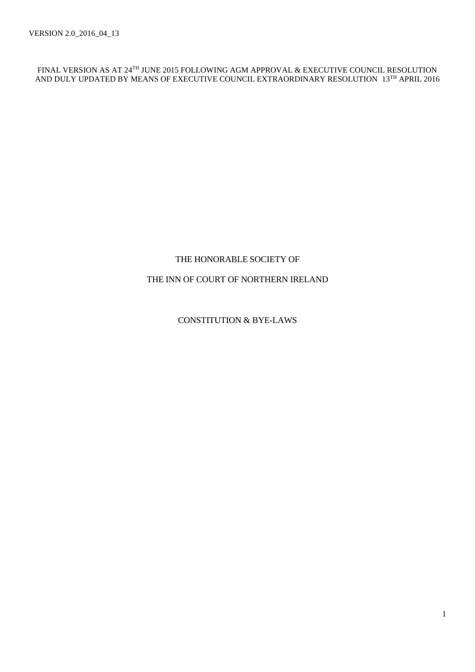FINAL VERSION AS AT 24TH JUNE 2015 FOLLOWING AGM APPROVAL & EXECUTIVE COUNCIL RESOLUTION AND DULY UPDATED BY MEANS OF EXECUTIVE COUNCIL EXTRAORDINARY RESOLUTION 13TH APRIL 2016

# THE HONORABLE SOCIETY OF

# THE INN OF COURT OF NORTHERN IRELAND

CONSTITUTION & BYE-LAWS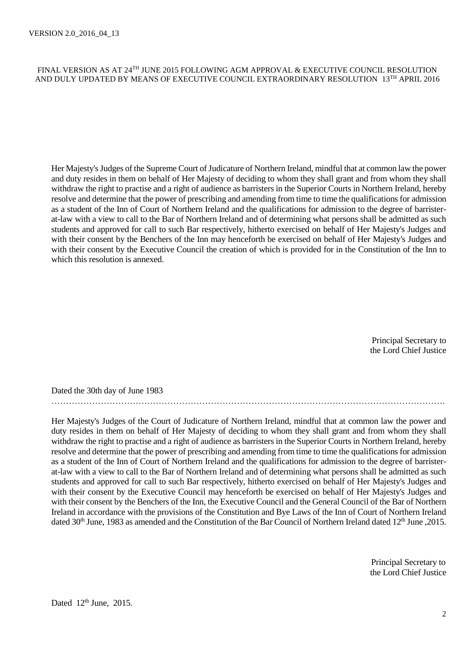## FINAL VERSION AS AT 24TH JUNE 2015 FOLLOWING AGM APPROVAL & EXECUTIVE COUNCIL RESOLUTION AND DULY UPDATED BY MEANS OF EXECUTIVE COUNCIL EXTRAORDINARY RESOLUTION 13TH APRIL 2016

Her Majesty's Judges of the Supreme Court of Judicature of Northern Ireland, mindful that at common law the power and duty resides in them on behalf of Her Majesty of deciding to whom they shall grant and from whom they shall withdraw the right to practise and a right of audience as barristers in the Superior Courts in Northern Ireland, hereby resolve and determine that the power of prescribing and amending from time to time the qualifications for admission as a student of the Inn of Court of Northern Ireland and the qualifications for admission to the degree of barristerat-law with a view to call to the Bar of Northern Ireland and of determining what persons shall be admitted as such students and approved for call to such Bar respectively, hitherto exercised on behalf of Her Majesty's Judges and with their consent by the Benchers of the Inn may henceforth be exercised on behalf of Her Majesty's Judges and with their consent by the Executive Council the creation of which is provided for in the Constitution of the Inn to which this resolution is annexed.

> Principal Secretary to the Lord Chief Justice

Dated the 30th day of June 1983

Her Majesty's Judges of the Court of Judicature of Northern Ireland, mindful that at common law the power and duty resides in them on behalf of Her Majesty of deciding to whom they shall grant and from whom they shall withdraw the right to practise and a right of audience as barristers in the Superior Courts in Northern Ireland, hereby resolve and determine that the power of prescribing and amending from time to time the qualifications for admission as a student of the Inn of Court of Northern Ireland and the qualifications for admission to the degree of barristerat-law with a view to call to the Bar of Northern Ireland and of determining what persons shall be admitted as such students and approved for call to such Bar respectively, hitherto exercised on behalf of Her Majesty's Judges and with their consent by the Executive Council may henceforth be exercised on behalf of Her Majesty's Judges and with their consent by the Benchers of the Inn, the Executive Council and the General Council of the Bar of Northern Ireland in accordance with the provisions of the Constitution and Bye Laws of the Inn of Court of Northern Ireland dated 30<sup>th</sup> June, 1983 as amended and the Constitution of the Bar Council of Northern Ireland dated 12<sup>th</sup> June ,2015.

……………………………………………………………………………………………………………………….

 Principal Secretary to the Lord Chief Justice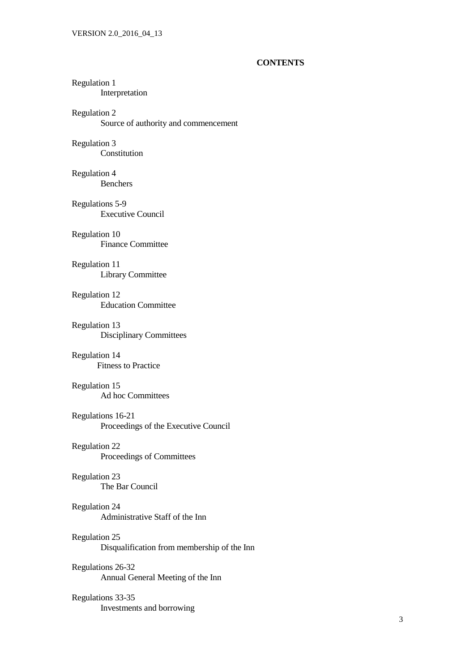#### **CONTENTS**

# Regulation 1

Interpretation

# Regulation 2

Source of authority and commencement

# Regulation 3

Constitution

#### Regulation 4

Benchers

# Regulations 5-9

Executive Council

# Regulation 10

Finance Committee

# Regulation 11

Library Committee

# Regulation 12

Education Committee

## Regulation 13

Disciplinary Committees

#### Regulation 14

Fitness to Practice

# Regulation 15

Ad hoc Committees

#### Regulations 16-21 Proceedings of the Executive Council

# Regulation 22

Proceedings of Committees

# Regulation 23

The Bar Council

#### Regulation 24

Administrative Staff of the Inn

# Regulation 25

Disqualification from membership of the Inn

#### Regulations 26-32

Annual General Meeting of the Inn

# Regulations 33-35

Investments and borrowing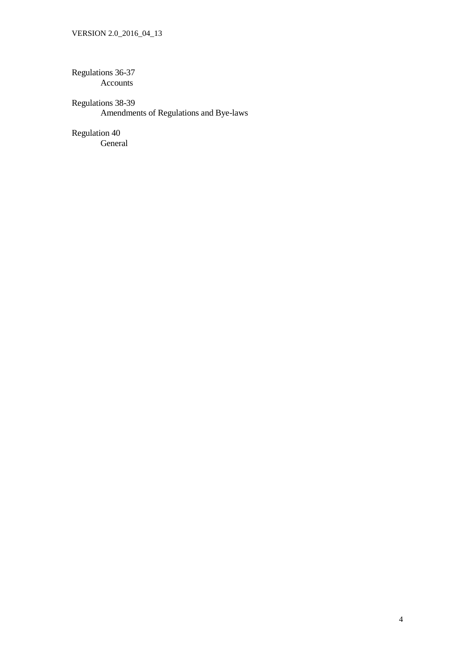Regulations 36-37 Accounts

Regulations 38-39 Amendments of Regulations and Bye-laws

Regulation 40 General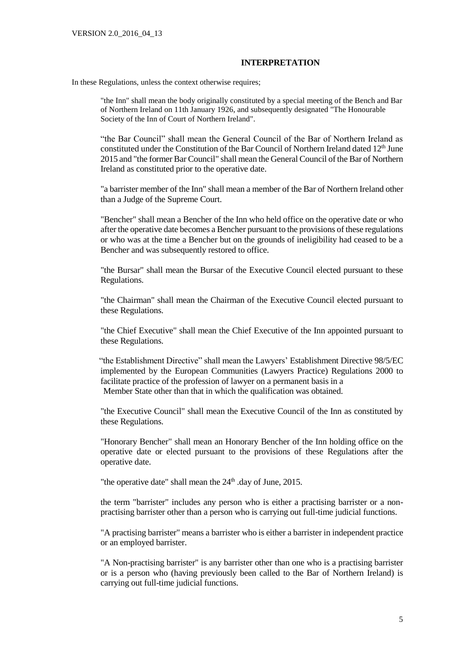#### **INTERPRETATION**

In these Regulations, unless the context otherwise requires;

"the Inn" shall mean the body originally constituted by a special meeting of the Bench and Bar of Northern Ireland on 11th January 1926, and subsequently designated "The Honourable Society of the Inn of Court of Northern Ireland".

"the Bar Council" shall mean the General Council of the Bar of Northern Ireland as constituted under the Constitution of the Bar Council of Northern Ireland dated  $12<sup>th</sup>$  June 2015 and "the former Bar Council" shall mean the General Council of the Bar of Northern Ireland as constituted prior to the operative date.

"a barrister member of the Inn" shall mean a member of the Bar of Northern Ireland other than a Judge of the Supreme Court.

"Bencher" shall mean a Bencher of the Inn who held office on the operative date or who after the operative date becomes a Bencher pursuant to the provisions of these regulations or who was at the time a Bencher but on the grounds of ineligibility had ceased to be a Bencher and was subsequently restored to office.

"the Bursar" shall mean the Bursar of the Executive Council elected pursuant to these Regulations.

"the Chairman" shall mean the Chairman of the Executive Council elected pursuant to these Regulations.

"the Chief Executive" shall mean the Chief Executive of the Inn appointed pursuant to these Regulations.

 "the Establishment Directive" shall mean the Lawyers' Establishment Directive 98/5/EC implemented by the European Communities (Lawyers Practice) Regulations 2000 to facilitate practice of the profession of lawyer on a permanent basis in a Member State other than that in which the qualification was obtained.

"the Executive Council" shall mean the Executive Council of the Inn as constituted by these Regulations.

"Honorary Bencher" shall mean an Honorary Bencher of the Inn holding office on the operative date or elected pursuant to the provisions of these Regulations after the operative date.

"the operative date" shall mean the 24<sup>th</sup> .day of June, 2015.

the term "barrister" includes any person who is either a practising barrister or a nonpractising barrister other than a person who is carrying out full-time judicial functions.

"A practising barrister" means a barrister who is either a barrister in independent practice or an employed barrister.

"A Non-practising barrister" is any barrister other than one who is a practising barrister or is a person who (having previously been called to the Bar of Northern Ireland) is carrying out full-time judicial functions.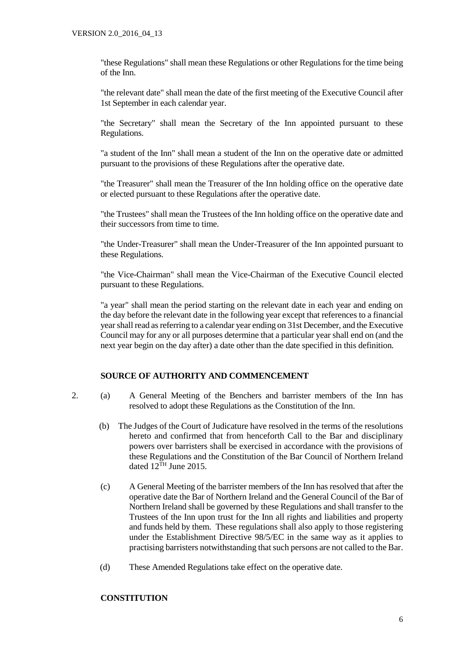"these Regulations" shall mean these Regulations or other Regulations for the time being of the Inn.

"the relevant date" shall mean the date of the first meeting of the Executive Council after 1st September in each calendar year.

"the Secretary" shall mean the Secretary of the Inn appointed pursuant to these Regulations.

"a student of the Inn" shall mean a student of the Inn on the operative date or admitted pursuant to the provisions of these Regulations after the operative date.

"the Treasurer" shall mean the Treasurer of the Inn holding office on the operative date or elected pursuant to these Regulations after the operative date.

"the Trustees" shall mean the Trustees of the Inn holding office on the operative date and their successors from time to time.

"the Under-Treasurer" shall mean the Under-Treasurer of the Inn appointed pursuant to these Regulations.

"the Vice-Chairman" shall mean the Vice-Chairman of the Executive Council elected pursuant to these Regulations.

"a year" shall mean the period starting on the relevant date in each year and ending on the day before the relevant date in the following year except that references to a financial year shall read as referring to a calendar year ending on 31st December, and the Executive Council may for any or all purposes determine that a particular year shall end on (and the next year begin on the day after) a date other than the date specified in this definition.

## **SOURCE OF AUTHORITY AND COMMENCEMENT**

- 2. (a) A General Meeting of the Benchers and barrister members of the Inn has resolved to adopt these Regulations as the Constitution of the Inn.
	- (b) The Judges of the Court of Judicature have resolved in the terms of the resolutions hereto and confirmed that from henceforth Call to the Bar and disciplinary powers over barristers shall be exercised in accordance with the provisions of these Regulations and the Constitution of the Bar Council of Northern Ireland dated  $12^{TH}$  June 2015.
	- (c) A General Meeting of the barrister members of the Inn has resolved that after the operative date the Bar of Northern Ireland and the General Council of the Bar of Northern Ireland shall be governed by these Regulations and shall transfer to the Trustees of the Inn upon trust for the Inn all rights and liabilities and property and funds held by them.These regulations shall also apply to those registering under the Establishment Directive 98/5/EC in the same way as it applies to practising barristers notwithstanding that such persons are not called to the Bar.
	- (d) These Amended Regulations take effect on the operative date.

#### **CONSTITUTION**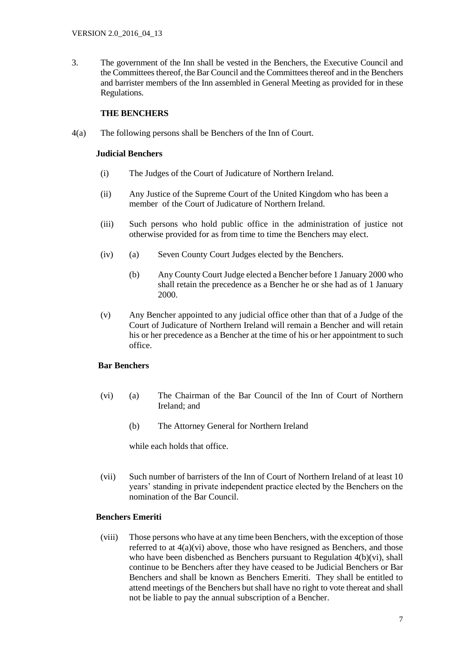3. The government of the Inn shall be vested in the Benchers, the Executive Council and the Committees thereof, the Bar Council and the Committees thereof and in the Benchers and barrister members of the Inn assembled in General Meeting as provided for in these Regulations.

## **THE BENCHERS**

4(a) The following persons shall be Benchers of the Inn of Court.

#### **Judicial Benchers**

- (i) The Judges of the Court of Judicature of Northern Ireland.
- (ii) Any Justice of the Supreme Court of the United Kingdom who has been a member of the Court of Judicature of Northern Ireland.
- (iii) Such persons who hold public office in the administration of justice not otherwise provided for as from time to time the Benchers may elect.
- (iv) (a) Seven County Court Judges elected by the Benchers.
	- (b) Any County Court Judge elected a Bencher before 1 January 2000 who shall retain the precedence as a Bencher he or she had as of 1 January 2000.
- (v) Any Bencher appointed to any judicial office other than that of a Judge of the Court of Judicature of Northern Ireland will remain a Bencher and will retain his or her precedence as a Bencher at the time of his or her appointment to such office.

#### **Bar Benchers**

- (vi) (a) The Chairman of the Bar Council of the Inn of Court of Northern Ireland; and
	- (b) The Attorney General for Northern Ireland

while each holds that office.

(vii) Such number of barristers of the Inn of Court of Northern Ireland of at least 10 years' standing in private independent practice elected by the Benchers on the nomination of the Bar Council.

#### **Benchers Emeriti**

(viii) Those persons who have at any time been Benchers, with the exception of those referred to at 4(a)(vi) above, those who have resigned as Benchers, and those who have been disbenched as Benchers pursuant to Regulation 4(b)(vi), shall continue to be Benchers after they have ceased to be Judicial Benchers or Bar Benchers and shall be known as Benchers Emeriti. They shall be entitled to attend meetings of the Benchers but shall have no right to vote thereat and shall not be liable to pay the annual subscription of a Bencher.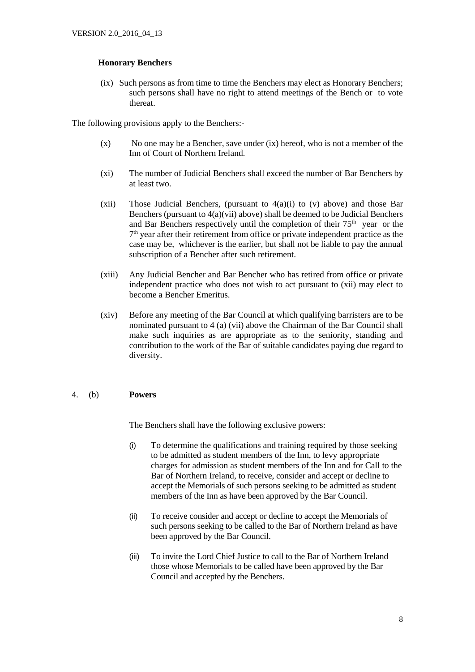# **Honorary Benchers**

(ix) Such persons as from time to time the Benchers may elect as Honorary Benchers; such persons shall have no right to attend meetings of the Bench or to vote thereat.

The following provisions apply to the Benchers:-

- (x) No one may be a Bencher, save under (ix) hereof, who is not a member of the Inn of Court of Northern Ireland.
- (xi) The number of Judicial Benchers shall exceed the number of Bar Benchers by at least two.
- (xii) Those Judicial Benchers, (pursuant to  $4(a)(i)$  to (v) above) and those Bar Benchers (pursuant to  $4(a)(\overline{vii})$  above) shall be deemed to be Judicial Benchers and Bar Benchers respectively until the completion of their  $75<sup>th</sup>$  year or the 7 th year after their retirement from office or private independent practice as the case may be, whichever is the earlier, but shall not be liable to pay the annual subscription of a Bencher after such retirement.
- (xiii) Any Judicial Bencher and Bar Bencher who has retired from office or private independent practice who does not wish to act pursuant to (xii) may elect to become a Bencher Emeritus.
- (xiv) Before any meeting of the Bar Council at which qualifying barristers are to be nominated pursuant to 4 (a) (vii) above the Chairman of the Bar Council shall make such inquiries as are appropriate as to the seniority, standing and contribution to the work of the Bar of suitable candidates paying due regard to diversity.

#### 4. (b) **Powers**

The Benchers shall have the following exclusive powers:

- (i) To determine the qualifications and training required by those seeking to be admitted as student members of the Inn, to levy appropriate charges for admission as student members of the Inn and for Call to the Bar of Northern Ireland, to receive, consider and accept or decline to accept the Memorials of such persons seeking to be admitted as student members of the Inn as have been approved by the Bar Council.
- (ii) To receive consider and accept or decline to accept the Memorials of such persons seeking to be called to the Bar of Northern Ireland as have been approved by the Bar Council.
- (iii) To invite the Lord Chief Justice to call to the Bar of Northern Ireland those whose Memorials to be called have been approved by the Bar Council and accepted by the Benchers.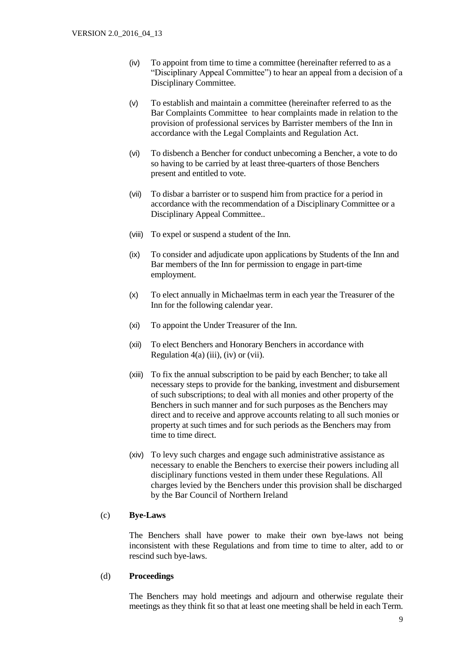- (iv) To appoint from time to time a committee (hereinafter referred to as a "Disciplinary Appeal Committee") to hear an appeal from a decision of a Disciplinary Committee.
- (v) To establish and maintain a committee (hereinafter referred to as the Bar Complaints Committee to hear complaints made in relation to the provision of professional services by Barrister members of the Inn in accordance with the Legal Complaints and Regulation Act.
- (vi) To disbench a Bencher for conduct unbecoming a Bencher, a vote to do so having to be carried by at least three-quarters of those Benchers present and entitled to vote.
- (vii) To disbar a barrister or to suspend him from practice for a period in accordance with the recommendation of a Disciplinary Committee or a Disciplinary Appeal Committee..
- (viii) To expel or suspend a student of the Inn.
- (ix) To consider and adjudicate upon applications by Students of the Inn and Bar members of the Inn for permission to engage in part-time employment.
- (x) To elect annually in Michaelmas term in each year the Treasurer of the Inn for the following calendar year.
- (xi) To appoint the Under Treasurer of the Inn.
- (xii) To elect Benchers and Honorary Benchers in accordance with Regulation  $4(a)$  (iii), (iv) or (vii).
- (xiii) To fix the annual subscription to be paid by each Bencher; to take all necessary steps to provide for the banking, investment and disbursement of such subscriptions; to deal with all monies and other property of the Benchers in such manner and for such purposes as the Benchers may direct and to receive and approve accounts relating to all such monies or property at such times and for such periods as the Benchers may from time to time direct.
- (xiv) To levy such charges and engage such administrative assistance as necessary to enable the Benchers to exercise their powers including all disciplinary functions vested in them under these Regulations. All charges levied by the Benchers under this provision shall be discharged by the Bar Council of Northern Ireland

#### (c) **Bye-Laws**

The Benchers shall have power to make their own bye-laws not being inconsistent with these Regulations and from time to time to alter, add to or rescind such bye-laws.

#### (d) **Proceedings**

The Benchers may hold meetings and adjourn and otherwise regulate their meetings as they think fit so that at least one meeting shall be held in each Term.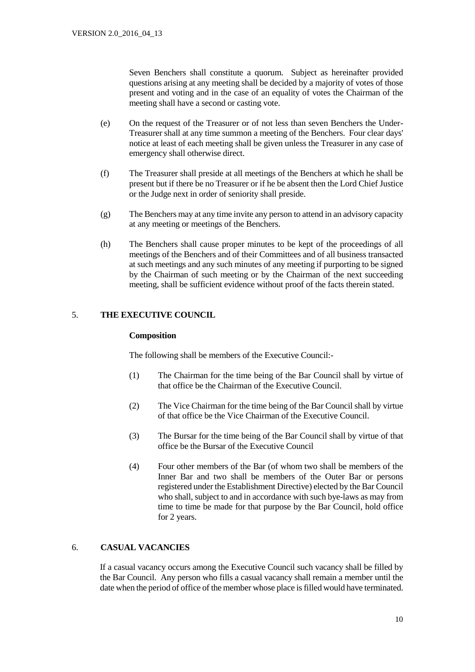Seven Benchers shall constitute a quorum. Subject as hereinafter provided questions arising at any meeting shall be decided by a majority of votes of those present and voting and in the case of an equality of votes the Chairman of the meeting shall have a second or casting vote.

- (e) On the request of the Treasurer or of not less than seven Benchers the Under-Treasurer shall at any time summon a meeting of the Benchers. Four clear days' notice at least of each meeting shall be given unless the Treasurer in any case of emergency shall otherwise direct.
- (f) The Treasurer shall preside at all meetings of the Benchers at which he shall be present but if there be no Treasurer or if he be absent then the Lord Chief Justice or the Judge next in order of seniority shall preside.
- (g) The Benchers may at any time invite any person to attend in an advisory capacity at any meeting or meetings of the Benchers.
- (h) The Benchers shall cause proper minutes to be kept of the proceedings of all meetings of the Benchers and of their Committees and of all business transacted at such meetings and any such minutes of any meeting if purporting to be signed by the Chairman of such meeting or by the Chairman of the next succeeding meeting, shall be sufficient evidence without proof of the facts therein stated.

# 5. **THE EXECUTIVE COUNCIL**

#### **Composition**

The following shall be members of the Executive Council:-

- (1) The Chairman for the time being of the Bar Council shall by virtue of that office be the Chairman of the Executive Council.
- (2) The Vice Chairman for the time being of the Bar Council shall by virtue of that office be the Vice Chairman of the Executive Council.
- (3) The Bursar for the time being of the Bar Council shall by virtue of that office be the Bursar of the Executive Council
- (4) Four other members of the Bar (of whom two shall be members of the Inner Bar and two shall be members of the Outer Bar or persons registered under the Establishment Directive) elected by the Bar Council who shall, subject to and in accordance with such bye-laws as may from time to time be made for that purpose by the Bar Council, hold office for 2 years.

#### 6. **CASUAL VACANCIES**

If a casual vacancy occurs among the Executive Council such vacancy shall be filled by the Bar Council. Any person who fills a casual vacancy shall remain a member until the date when the period of office of the member whose place is filled would have terminated.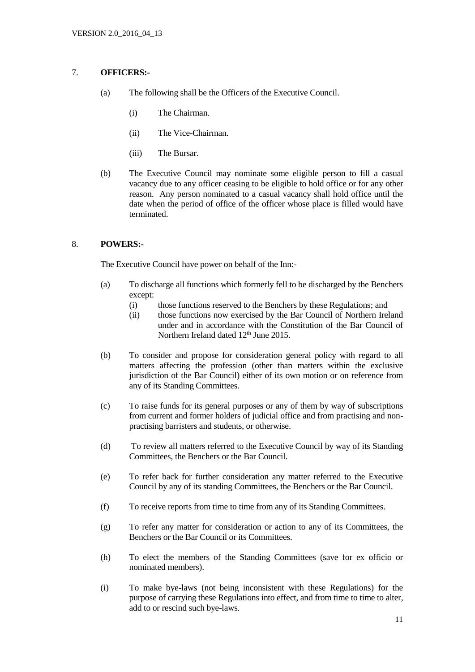# 7. **OFFICERS:-**

- (a) The following shall be the Officers of the Executive Council.
	- (i) The Chairman.
	- (ii) The Vice-Chairman.
	- (iii) The Bursar.
- (b) The Executive Council may nominate some eligible person to fill a casual vacancy due to any officer ceasing to be eligible to hold office or for any other reason. Any person nominated to a casual vacancy shall hold office until the date when the period of office of the officer whose place is filled would have terminated.

#### 8. **POWERS:-**

The Executive Council have power on behalf of the Inn:-

- (a) To discharge all functions which formerly fell to be discharged by the Benchers except:
	- (i) those functions reserved to the Benchers by these Regulations; and
	- (ii) those functions now exercised by the Bar Council of Northern Ireland under and in accordance with the Constitution of the Bar Council of Northern Ireland dated 12<sup>th</sup> June 2015.
- (b) To consider and propose for consideration general policy with regard to all matters affecting the profession (other than matters within the exclusive jurisdiction of the Bar Council) either of its own motion or on reference from any of its Standing Committees.
- (c) To raise funds for its general purposes or any of them by way of subscriptions from current and former holders of judicial office and from practising and nonpractising barristers and students, or otherwise.
- (d) To review all matters referred to the Executive Council by way of its Standing Committees, the Benchers or the Bar Council.
- (e) To refer back for further consideration any matter referred to the Executive Council by any of its standing Committees, the Benchers or the Bar Council.
- (f) To receive reports from time to time from any of its Standing Committees.
- (g) To refer any matter for consideration or action to any of its Committees, the Benchers or the Bar Council or its Committees.
- (h) To elect the members of the Standing Committees (save for ex officio or nominated members).
- (i) To make bye-laws (not being inconsistent with these Regulations) for the purpose of carrying these Regulations into effect, and from time to time to alter, add to or rescind such bye-laws.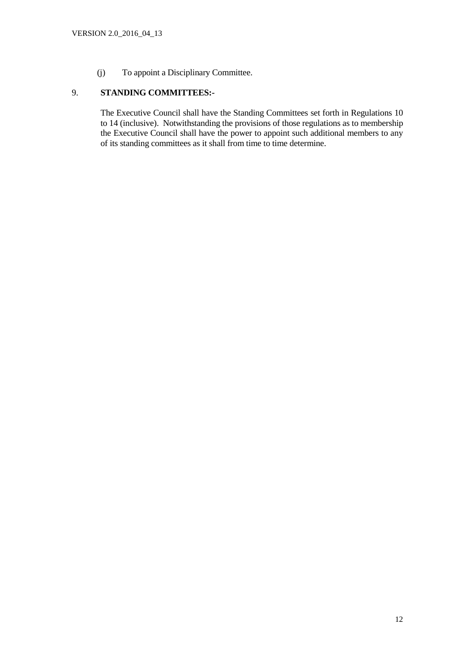(j) To appoint a Disciplinary Committee.

# 9. **STANDING COMMITTEES:-**

The Executive Council shall have the Standing Committees set forth in Regulations 10 to 14 (inclusive). Notwithstanding the provisions of those regulations as to membership the Executive Council shall have the power to appoint such additional members to any of its standing committees as it shall from time to time determine.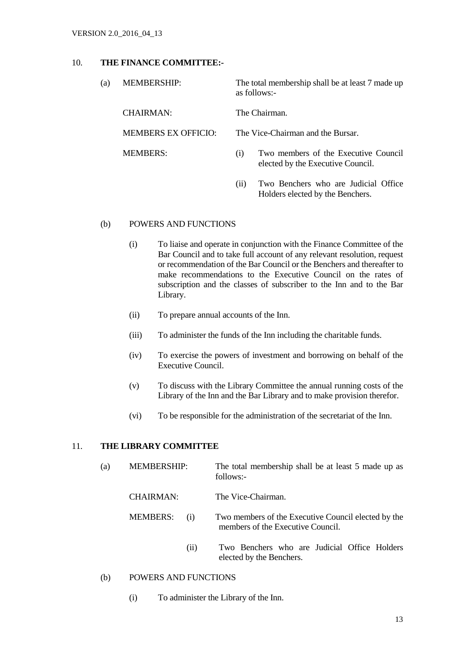#### 10. **THE FINANCE COMMITTEE:-**

| (a) | <b>MEMBERSHIP:</b>         | The total membership shall be at least 7 made up<br>as follows:-                 |  |
|-----|----------------------------|----------------------------------------------------------------------------------|--|
|     | CHAIRMAN:                  | The Chairman.                                                                    |  |
|     | <b>MEMBERS EX OFFICIO:</b> | The Vice-Chairman and the Bursar.                                                |  |
|     | <b>MEMBERS:</b>            | Two members of the Executive Council<br>(1)<br>elected by the Executive Council. |  |
|     |                            | Two Benchers who are Judicial Office<br>(11)                                     |  |

#### (b) POWERS AND FUNCTIONS

(i) To liaise and operate in conjunction with the Finance Committee of the Bar Council and to take full account of any relevant resolution, request or recommendation of the Bar Council or the Benchers and thereafter to make recommendations to the Executive Council on the rates of subscription and the classes of subscriber to the Inn and to the Bar Library.

Holders elected by the Benchers.

- (ii) To prepare annual accounts of the Inn.
- (iii) To administer the funds of the Inn including the charitable funds.
- (iv) To exercise the powers of investment and borrowing on behalf of the Executive Council.
- (v) To discuss with the Library Committee the annual running costs of the Library of the Inn and the Bar Library and to make provision therefor.
- (vi) To be responsible for the administration of the secretariat of the Inn.

#### 11. **THE LIBRARY COMMITTEE**

- (a) MEMBERSHIP: The total membership shall be at least 5 made up as follows:- CHAIRMAN: The Vice-Chairman.
	- MEMBERS: (i) Two members of the Executive Council elected by the members of the Executive Council.
		- (ii) Two Benchers who are Judicial Office Holders elected by the Benchers.
- (b) POWERS AND FUNCTIONS
	- (i) To administer the Library of the Inn.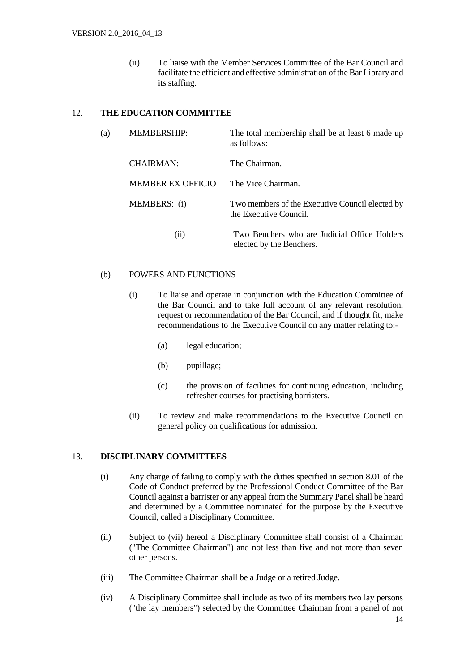(ii) To liaise with the Member Services Committee of the Bar Council and facilitate the efficient and effective administration of the Bar Library and its staffing.

## 12. **THE EDUCATION COMMITTEE**

| (a) | <b>MEMBERSHIP:</b>       | The total membership shall be at least 6 made up<br>as follows:           |
|-----|--------------------------|---------------------------------------------------------------------------|
|     | <b>CHAIRMAN:</b>         | The Chairman.                                                             |
|     | <b>MEMBER EX OFFICIO</b> | The Vice Chairman.                                                        |
|     | MEMBERS: (i)             | Two members of the Executive Council elected by<br>the Executive Council. |
|     | (i)                      | Two Benchers who are Judicial Office Holders<br>elected by the Benchers.  |

#### (b) POWERS AND FUNCTIONS

- (i) To liaise and operate in conjunction with the Education Committee of the Bar Council and to take full account of any relevant resolution, request or recommendation of the Bar Council, and if thought fit, make recommendations to the Executive Council on any matter relating to:-
	- (a) legal education;
	- (b) pupillage;
	- (c) the provision of facilities for continuing education, including refresher courses for practising barristers.
- (ii) To review and make recommendations to the Executive Council on general policy on qualifications for admission.

#### 13. **DISCIPLINARY COMMITTEES**

- (i) Any charge of failing to comply with the duties specified in section 8.01 of the Code of Conduct preferred by the Professional Conduct Committee of the Bar Council against a barrister or any appeal from the Summary Panel shall be heard and determined by a Committee nominated for the purpose by the Executive Council, called a Disciplinary Committee.
- (ii) Subject to (vii) hereof a Disciplinary Committee shall consist of a Chairman ("The Committee Chairman") and not less than five and not more than seven other persons.
- (iii) The Committee Chairman shall be a Judge or a retired Judge.
- (iv) A Disciplinary Committee shall include as two of its members two lay persons ("the lay members") selected by the Committee Chairman from a panel of not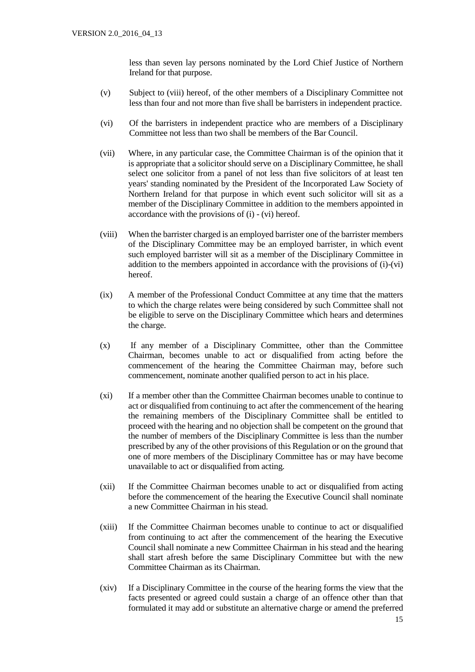less than seven lay persons nominated by the Lord Chief Justice of Northern Ireland for that purpose.

- (v) Subject to (viii) hereof, of the other members of a Disciplinary Committee not less than four and not more than five shall be barristers in independent practice.
- (vi) Of the barristers in independent practice who are members of a Disciplinary Committee not less than two shall be members of the Bar Council.
- (vii) Where, in any particular case, the Committee Chairman is of the opinion that it is appropriate that a solicitor should serve on a Disciplinary Committee, he shall select one solicitor from a panel of not less than five solicitors of at least ten years' standing nominated by the President of the Incorporated Law Society of Northern Ireland for that purpose in which event such solicitor will sit as a member of the Disciplinary Committee in addition to the members appointed in accordance with the provisions of (i) - (vi) hereof.
- (viii) When the barrister charged is an employed barrister one of the barrister members of the Disciplinary Committee may be an employed barrister, in which event such employed barrister will sit as a member of the Disciplinary Committee in addition to the members appointed in accordance with the provisions of (i)-(vi) hereof.
- (ix) A member of the Professional Conduct Committee at any time that the matters to which the charge relates were being considered by such Committee shall not be eligible to serve on the Disciplinary Committee which hears and determines the charge.
- (x) If any member of a Disciplinary Committee, other than the Committee Chairman, becomes unable to act or disqualified from acting before the commencement of the hearing the Committee Chairman may, before such commencement, nominate another qualified person to act in his place.
- (xi) If a member other than the Committee Chairman becomes unable to continue to act or disqualified from continuing to act after the commencement of the hearing the remaining members of the Disciplinary Committee shall be entitled to proceed with the hearing and no objection shall be competent on the ground that the number of members of the Disciplinary Committee is less than the number prescribed by any of the other provisions of this Regulation or on the ground that one of more members of the Disciplinary Committee has or may have become unavailable to act or disqualified from acting.
- (xii) If the Committee Chairman becomes unable to act or disqualified from acting before the commencement of the hearing the Executive Council shall nominate a new Committee Chairman in his stead.
- (xiii) If the Committee Chairman becomes unable to continue to act or disqualified from continuing to act after the commencement of the hearing the Executive Council shall nominate a new Committee Chairman in his stead and the hearing shall start afresh before the same Disciplinary Committee but with the new Committee Chairman as its Chairman.
- (xiv) If a Disciplinary Committee in the course of the hearing forms the view that the facts presented or agreed could sustain a charge of an offence other than that formulated it may add or substitute an alternative charge or amend the preferred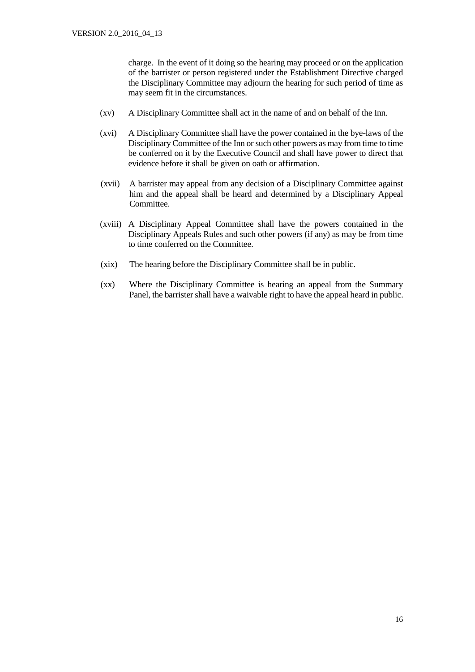charge. In the event of it doing so the hearing may proceed or on the application of the barrister or person registered under the Establishment Directive charged the Disciplinary Committee may adjourn the hearing for such period of time as may seem fit in the circumstances.

- (xv) A Disciplinary Committee shall act in the name of and on behalf of the Inn.
- (xvi) A Disciplinary Committee shall have the power contained in the bye-laws of the Disciplinary Committee of the Inn or such other powers as may from time to time be conferred on it by the Executive Council and shall have power to direct that evidence before it shall be given on oath or affirmation.
- (xvii) A barrister may appeal from any decision of a Disciplinary Committee against him and the appeal shall be heard and determined by a Disciplinary Appeal Committee.
- (xviii) A Disciplinary Appeal Committee shall have the powers contained in the Disciplinary Appeals Rules and such other powers (if any) as may be from time to time conferred on the Committee.
- (xix) The hearing before the Disciplinary Committee shall be in public.
- (xx) Where the Disciplinary Committee is hearing an appeal from the Summary Panel, the barrister shall have a waivable right to have the appeal heard in public.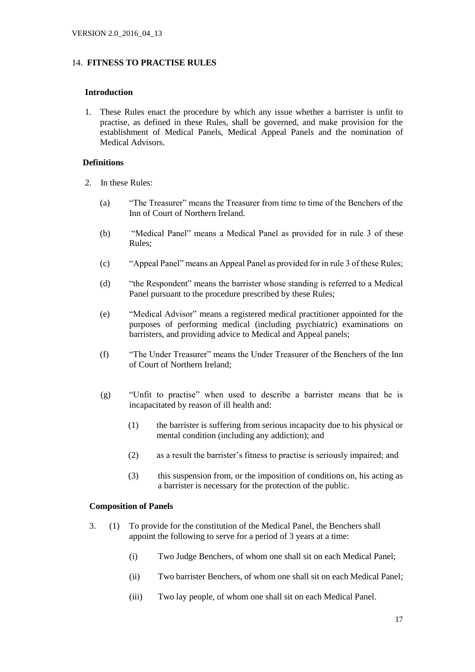#### 14. **FITNESS TO PRACTISE RULES**

#### **Introduction**

 1. These Rules enact the procedure by which any issue whether a barrister is unfit to practise, as defined in these Rules, shall be governed, and make provision for the establishment of Medical Panels, Medical Appeal Panels and the nomination of Medical Advisors.

#### **Definitions**

- 2. In these Rules:
	- (a) "The Treasurer" means the Treasurer from time to time of the Benchers of the Inn of Court of Northern Ireland.
	- (b) "Medical Panel" means a Medical Panel as provided for in rule 3 of these Rules;
	- (c) "Appeal Panel" means an Appeal Panel as provided for in rule 3 of these Rules;
	- (d) "the Respondent" means the barrister whose standing is referred to a Medical Panel pursuant to the procedure prescribed by these Rules;
	- (e) "Medical Advisor" means a registered medical practitioner appointed for the purposes of performing medical (including psychiatric) examinations on barristers, and providing advice to Medical and Appeal panels;
	- (f) "The Under Treasurer" means the Under Treasurer of the Benchers of the Inn of Court of Northern Ireland;
	- (g) "Unfit to practise" when used to describe a barrister means that he is incapacitated by reason of ill health and:
		- (1) the barrister is suffering from serious incapacity due to his physical or mental condition (including any addiction); and
		- (2) as a result the barrister's fitness to practise is seriously impaired; and
		- (3) this suspension from, or the imposition of conditions on, his acting as a barrister is necessary for the protection of the public.

#### **Composition of Panels**

- 3. (1) To provide for the constitution of the Medical Panel, the Benchers shall appoint the following to serve for a period of 3 years at a time:
	- (i) Two Judge Benchers, of whom one shall sit on each Medical Panel;
	- (ii) Two barrister Benchers, of whom one shall sit on each Medical Panel;
	- (iii) Two lay people, of whom one shall sit on each Medical Panel.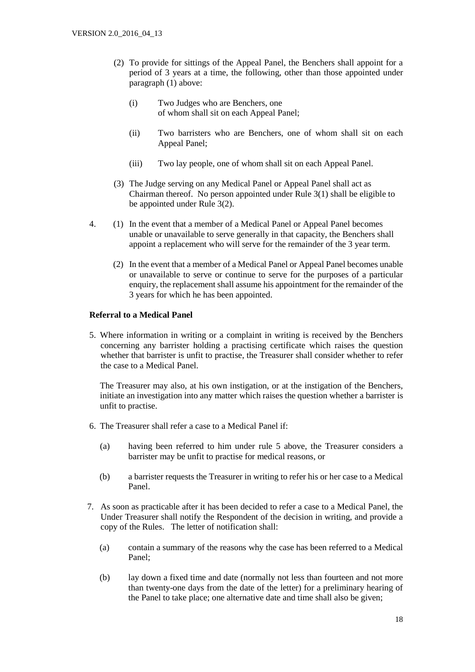- (2) To provide for sittings of the Appeal Panel, the Benchers shall appoint for a period of 3 years at a time, the following, other than those appointed under paragraph (1) above:
	- (i) Two Judges who are Benchers, one of whom shall sit on each Appeal Panel;
	- (ii) Two barristers who are Benchers, one of whom shall sit on each Appeal Panel;
	- (iii) Two lay people, one of whom shall sit on each Appeal Panel.
- (3) The Judge serving on any Medical Panel or Appeal Panel shall act as Chairman thereof. No person appointed under Rule 3(1) shall be eligible to be appointed under Rule 3(2).
- 4. (1) In the event that a member of a Medical Panel or Appeal Panel becomes unable or unavailable to serve generally in that capacity, the Benchers shall appoint a replacement who will serve for the remainder of the 3 year term.
	- (2) In the event that a member of a Medical Panel or Appeal Panel becomes unable or unavailable to serve or continue to serve for the purposes of a particular enquiry, the replacement shall assume his appointment for the remainder of the 3 years for which he has been appointed.

#### **Referral to a Medical Panel**

 5. Where information in writing or a complaint in writing is received by the Benchers concerning any barrister holding a practising certificate which raises the question whether that barrister is unfit to practise, the Treasurer shall consider whether to refer the case to a Medical Panel.

The Treasurer may also, at his own instigation, or at the instigation of the Benchers, initiate an investigation into any matter which raises the question whether a barrister is unfit to practise.

- 6. The Treasurer shall refer a case to a Medical Panel if:
	- (a) having been referred to him under rule 5 above, the Treasurer considers a barrister may be unfit to practise for medical reasons, or
	- (b) a barrister requests the Treasurer in writing to refer his or her case to a Medical Panel.
- 7. As soon as practicable after it has been decided to refer a case to a Medical Panel, the Under Treasurer shall notify the Respondent of the decision in writing, and provide a copy of the Rules. The letter of notification shall:
	- (a) contain a summary of the reasons why the case has been referred to a Medical Panel;
	- (b) lay down a fixed time and date (normally not less than fourteen and not more than twenty-one days from the date of the letter) for a preliminary hearing of the Panel to take place; one alternative date and time shall also be given;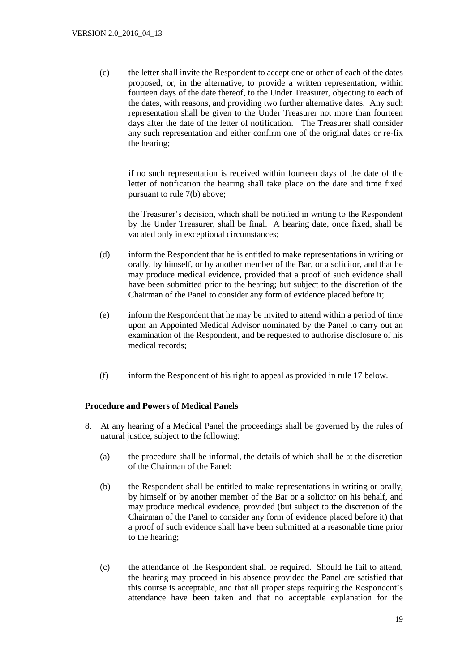(c) the letter shall invite the Respondent to accept one or other of each of the dates proposed, or, in the alternative, to provide a written representation, within fourteen days of the date thereof, to the Under Treasurer, objecting to each of the dates, with reasons, and providing two further alternative dates. Any such representation shall be given to the Under Treasurer not more than fourteen days after the date of the letter of notification. The Treasurer shall consider any such representation and either confirm one of the original dates or re-fix the hearing;

if no such representation is received within fourteen days of the date of the letter of notification the hearing shall take place on the date and time fixed pursuant to rule 7(b) above;

the Treasurer's decision, which shall be notified in writing to the Respondent by the Under Treasurer, shall be final. A hearing date, once fixed, shall be vacated only in exceptional circumstances;

- (d) inform the Respondent that he is entitled to make representations in writing or orally, by himself, or by another member of the Bar, or a solicitor, and that he may produce medical evidence, provided that a proof of such evidence shall have been submitted prior to the hearing; but subject to the discretion of the Chairman of the Panel to consider any form of evidence placed before it;
- (e) inform the Respondent that he may be invited to attend within a period of time upon an Appointed Medical Advisor nominated by the Panel to carry out an examination of the Respondent, and be requested to authorise disclosure of his medical records;
- (f) inform the Respondent of his right to appeal as provided in rule 17 below.

#### **Procedure and Powers of Medical Panels**

- 8. At any hearing of a Medical Panel the proceedings shall be governed by the rules of natural justice, subject to the following:
	- (a) the procedure shall be informal, the details of which shall be at the discretion of the Chairman of the Panel;
	- (b) the Respondent shall be entitled to make representations in writing or orally, by himself or by another member of the Bar or a solicitor on his behalf, and may produce medical evidence, provided (but subject to the discretion of the Chairman of the Panel to consider any form of evidence placed before it) that a proof of such evidence shall have been submitted at a reasonable time prior to the hearing;
	- (c) the attendance of the Respondent shall be required. Should he fail to attend, the hearing may proceed in his absence provided the Panel are satisfied that this course is acceptable, and that all proper steps requiring the Respondent's attendance have been taken and that no acceptable explanation for the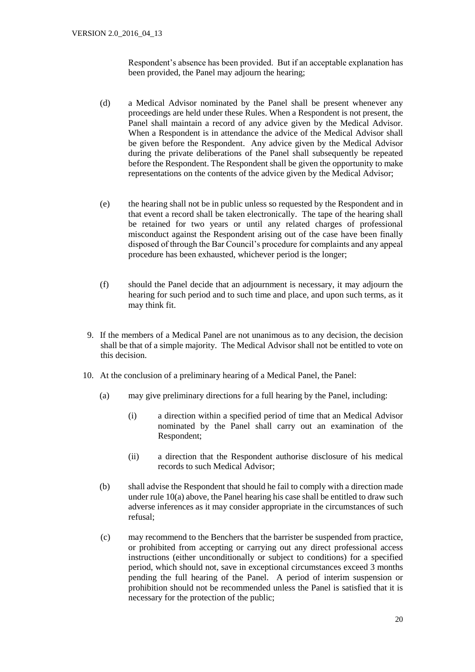Respondent's absence has been provided. But if an acceptable explanation has been provided, the Panel may adjourn the hearing;

- (d) a Medical Advisor nominated by the Panel shall be present whenever any proceedings are held under these Rules. When a Respondent is not present, the Panel shall maintain a record of any advice given by the Medical Advisor. When a Respondent is in attendance the advice of the Medical Advisor shall be given before the Respondent. Any advice given by the Medical Advisor during the private deliberations of the Panel shall subsequently be repeated before the Respondent. The Respondent shall be given the opportunity to make representations on the contents of the advice given by the Medical Advisor;
- (e) the hearing shall not be in public unless so requested by the Respondent and in that event a record shall be taken electronically. The tape of the hearing shall be retained for two years or until any related charges of professional misconduct against the Respondent arising out of the case have been finally disposed of through the Bar Council's procedure for complaints and any appeal procedure has been exhausted, whichever period is the longer;
- (f) should the Panel decide that an adjournment is necessary, it may adjourn the hearing for such period and to such time and place, and upon such terms, as it may think fit.
- 9. If the members of a Medical Panel are not unanimous as to any decision, the decision shall be that of a simple majority. The Medical Advisor shall not be entitled to vote on this decision.
- 10. At the conclusion of a preliminary hearing of a Medical Panel, the Panel:
	- (a) may give preliminary directions for a full hearing by the Panel, including:
		- (i) a direction within a specified period of time that an Medical Advisor nominated by the Panel shall carry out an examination of the Respondent;
		- (ii) a direction that the Respondent authorise disclosure of his medical records to such Medical Advisor;
	- (b) shall advise the Respondent that should he fail to comply with a direction made under rule 10(a) above, the Panel hearing his case shall be entitled to draw such adverse inferences as it may consider appropriate in the circumstances of such refusal;
	- (c) may recommend to the Benchers that the barrister be suspended from practice, or prohibited from accepting or carrying out any direct professional access instructions (either unconditionally or subject to conditions) for a specified period, which should not, save in exceptional circumstances exceed 3 months pending the full hearing of the Panel. A period of interim suspension or prohibition should not be recommended unless the Panel is satisfied that it is necessary for the protection of the public;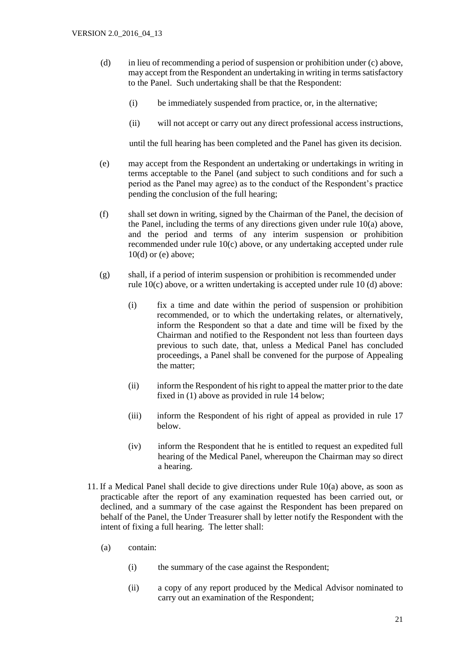- (d) in lieu of recommending a period of suspension or prohibition under (c) above, may accept from the Respondent an undertaking in writing in terms satisfactory to the Panel. Such undertaking shall be that the Respondent:
	- (i) be immediately suspended from practice, or, in the alternative;
	- (ii) will not accept or carry out any direct professional access instructions,

until the full hearing has been completed and the Panel has given its decision.

- (e) may accept from the Respondent an undertaking or undertakings in writing in terms acceptable to the Panel (and subject to such conditions and for such a period as the Panel may agree) as to the conduct of the Respondent's practice pending the conclusion of the full hearing;
- (f) shall set down in writing, signed by the Chairman of the Panel, the decision of the Panel, including the terms of any directions given under rule 10(a) above, and the period and terms of any interim suspension or prohibition recommended under rule 10(c) above, or any undertaking accepted under rule  $10(d)$  or (e) above;
- (g) shall, if a period of interim suspension or prohibition is recommended under rule 10(c) above, or a written undertaking is accepted under rule 10 (d) above:
	- (i) fix a time and date within the period of suspension or prohibition recommended, or to which the undertaking relates, or alternatively, inform the Respondent so that a date and time will be fixed by the Chairman and notified to the Respondent not less than fourteen days previous to such date, that, unless a Medical Panel has concluded proceedings, a Panel shall be convened for the purpose of Appealing the matter;
	- (ii) inform the Respondent of his right to appeal the matter prior to the date fixed in (1) above as provided in rule 14 below;
	- (iii) inform the Respondent of his right of appeal as provided in rule 17 below.
	- (iv) inform the Respondent that he is entitled to request an expedited full hearing of the Medical Panel, whereupon the Chairman may so direct a hearing.
- 11. If a Medical Panel shall decide to give directions under Rule 10(a) above, as soon as practicable after the report of any examination requested has been carried out, or declined, and a summary of the case against the Respondent has been prepared on behalf of the Panel, the Under Treasurer shall by letter notify the Respondent with the intent of fixing a full hearing. The letter shall:
	- (a) contain:
		- (i) the summary of the case against the Respondent;
		- (ii) a copy of any report produced by the Medical Advisor nominated to carry out an examination of the Respondent;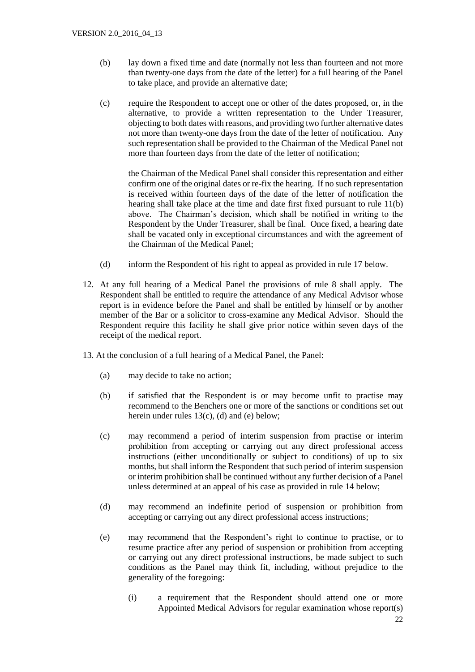- (b) lay down a fixed time and date (normally not less than fourteen and not more than twenty-one days from the date of the letter) for a full hearing of the Panel to take place, and provide an alternative date;
- (c) require the Respondent to accept one or other of the dates proposed, or, in the alternative, to provide a written representation to the Under Treasurer, objecting to both dates with reasons, and providing two further alternative dates not more than twenty-one days from the date of the letter of notification. Any such representation shall be provided to the Chairman of the Medical Panel not more than fourteen days from the date of the letter of notification;

the Chairman of the Medical Panel shall consider this representation and either confirm one of the original dates or re-fix the hearing. If no such representation is received within fourteen days of the date of the letter of notification the hearing shall take place at the time and date first fixed pursuant to rule 11(b) above. The Chairman's decision, which shall be notified in writing to the Respondent by the Under Treasurer, shall be final. Once fixed, a hearing date shall be vacated only in exceptional circumstances and with the agreement of the Chairman of the Medical Panel;

- (d) inform the Respondent of his right to appeal as provided in rule 17 below.
- 12. At any full hearing of a Medical Panel the provisions of rule 8 shall apply. The Respondent shall be entitled to require the attendance of any Medical Advisor whose report is in evidence before the Panel and shall be entitled by himself or by another member of the Bar or a solicitor to cross-examine any Medical Advisor. Should the Respondent require this facility he shall give prior notice within seven days of the receipt of the medical report.
- 13. At the conclusion of a full hearing of a Medical Panel, the Panel:
	- (a) may decide to take no action;
	- (b) if satisfied that the Respondent is or may become unfit to practise may recommend to the Benchers one or more of the sanctions or conditions set out herein under rules 13(c), (d) and (e) below;
	- (c) may recommend a period of interim suspension from practise or interim prohibition from accepting or carrying out any direct professional access instructions (either unconditionally or subject to conditions) of up to six months, but shall inform the Respondent that such period of interim suspension or interim prohibition shall be continued without any further decision of a Panel unless determined at an appeal of his case as provided in rule 14 below;
	- (d) may recommend an indefinite period of suspension or prohibition from accepting or carrying out any direct professional access instructions;
	- (e) may recommend that the Respondent's right to continue to practise, or to resume practice after any period of suspension or prohibition from accepting or carrying out any direct professional instructions, be made subject to such conditions as the Panel may think fit, including, without prejudice to the generality of the foregoing:
		- (i) a requirement that the Respondent should attend one or more Appointed Medical Advisors for regular examination whose report(s)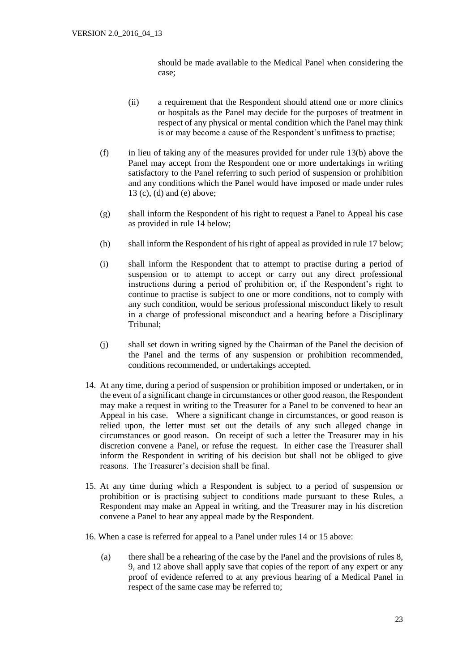should be made available to the Medical Panel when considering the case;

- (ii) a requirement that the Respondent should attend one or more clinics or hospitals as the Panel may decide for the purposes of treatment in respect of any physical or mental condition which the Panel may think is or may become a cause of the Respondent's unfitness to practise;
- (f) in lieu of taking any of the measures provided for under rule 13(b) above the Panel may accept from the Respondent one or more undertakings in writing satisfactory to the Panel referring to such period of suspension or prohibition and any conditions which the Panel would have imposed or made under rules 13 (c), (d) and (e) above;
- (g) shall inform the Respondent of his right to request a Panel to Appeal his case as provided in rule 14 below;
- (h) shall inform the Respondent of his right of appeal as provided in rule 17 below;
- (i) shall inform the Respondent that to attempt to practise during a period of suspension or to attempt to accept or carry out any direct professional instructions during a period of prohibition or, if the Respondent's right to continue to practise is subject to one or more conditions, not to comply with any such condition, would be serious professional misconduct likely to result in a charge of professional misconduct and a hearing before a Disciplinary Tribunal;
- (j) shall set down in writing signed by the Chairman of the Panel the decision of the Panel and the terms of any suspension or prohibition recommended, conditions recommended, or undertakings accepted.
- 14. At any time, during a period of suspension or prohibition imposed or undertaken, or in the event of a significant change in circumstances or other good reason, the Respondent may make a request in writing to the Treasurer for a Panel to be convened to hear an Appeal in his case. Where a significant change in circumstances, or good reason is relied upon, the letter must set out the details of any such alleged change in circumstances or good reason. On receipt of such a letter the Treasurer may in his discretion convene a Panel, or refuse the request. In either case the Treasurer shall inform the Respondent in writing of his decision but shall not be obliged to give reasons. The Treasurer's decision shall be final.
- 15. At any time during which a Respondent is subject to a period of suspension or prohibition or is practising subject to conditions made pursuant to these Rules, a Respondent may make an Appeal in writing, and the Treasurer may in his discretion convene a Panel to hear any appeal made by the Respondent.
- 16. When a case is referred for appeal to a Panel under rules 14 or 15 above:
	- (a) there shall be a rehearing of the case by the Panel and the provisions of rules 8, 9, and 12 above shall apply save that copies of the report of any expert or any proof of evidence referred to at any previous hearing of a Medical Panel in respect of the same case may be referred to;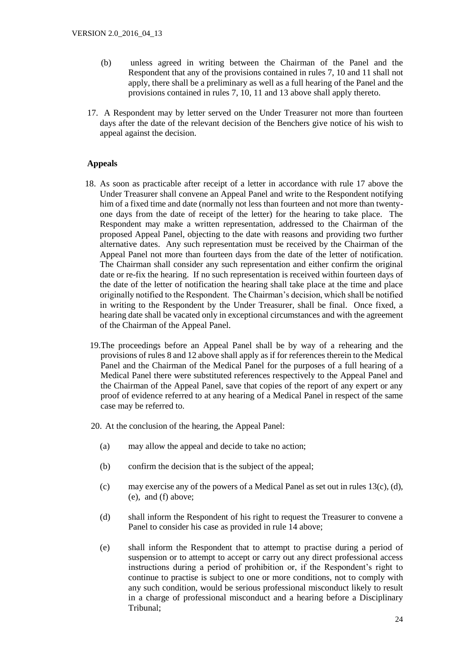- (b) unless agreed in writing between the Chairman of the Panel and the Respondent that any of the provisions contained in rules 7, 10 and 11 shall not apply, there shall be a preliminary as well as a full hearing of the Panel and the provisions contained in rules 7, 10, 11 and 13 above shall apply thereto.
- 17. A Respondent may by letter served on the Under Treasurer not more than fourteen days after the date of the relevant decision of the Benchers give notice of his wish to appeal against the decision.

#### **Appeals**

- 18. As soon as practicable after receipt of a letter in accordance with rule 17 above the Under Treasurer shall convene an Appeal Panel and write to the Respondent notifying him of a fixed time and date (normally not less than fourteen and not more than twentyone days from the date of receipt of the letter) for the hearing to take place. The Respondent may make a written representation, addressed to the Chairman of the proposed Appeal Panel, objecting to the date with reasons and providing two further alternative dates. Any such representation must be received by the Chairman of the Appeal Panel not more than fourteen days from the date of the letter of notification. The Chairman shall consider any such representation and either confirm the original date or re-fix the hearing. If no such representation is received within fourteen days of the date of the letter of notification the hearing shall take place at the time and place originally notified to the Respondent. The Chairman's decision, which shall be notified in writing to the Respondent by the Under Treasurer, shall be final. Once fixed, a hearing date shall be vacated only in exceptional circumstances and with the agreement of the Chairman of the Appeal Panel.
- 19.The proceedings before an Appeal Panel shall be by way of a rehearing and the provisions of rules 8 and 12 above shall apply as if for references therein to the Medical Panel and the Chairman of the Medical Panel for the purposes of a full hearing of a Medical Panel there were substituted references respectively to the Appeal Panel and the Chairman of the Appeal Panel, save that copies of the report of any expert or any proof of evidence referred to at any hearing of a Medical Panel in respect of the same case may be referred to.
- 20. At the conclusion of the hearing, the Appeal Panel:
	- (a) may allow the appeal and decide to take no action;
	- (b) confirm the decision that is the subject of the appeal;
	- (c) may exercise any of the powers of a Medical Panel as set out in rules  $13(c)$ , (d), (e), and (f) above;
	- (d) shall inform the Respondent of his right to request the Treasurer to convene a Panel to consider his case as provided in rule 14 above;
	- (e) shall inform the Respondent that to attempt to practise during a period of suspension or to attempt to accept or carry out any direct professional access instructions during a period of prohibition or, if the Respondent's right to continue to practise is subject to one or more conditions, not to comply with any such condition, would be serious professional misconduct likely to result in a charge of professional misconduct and a hearing before a Disciplinary Tribunal;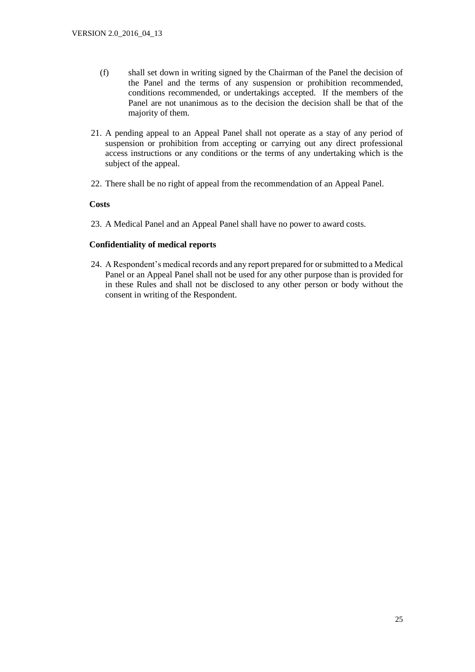- (f) shall set down in writing signed by the Chairman of the Panel the decision of the Panel and the terms of any suspension or prohibition recommended, conditions recommended, or undertakings accepted. If the members of the Panel are not unanimous as to the decision the decision shall be that of the majority of them.
- 21. A pending appeal to an Appeal Panel shall not operate as a stay of any period of suspension or prohibition from accepting or carrying out any direct professional access instructions or any conditions or the terms of any undertaking which is the subject of the appeal.
- 22. There shall be no right of appeal from the recommendation of an Appeal Panel.

#### **Costs**

23. A Medical Panel and an Appeal Panel shall have no power to award costs.

#### **Confidentiality of medical reports**

24. A Respondent's medical records and any report prepared for or submitted to a Medical Panel or an Appeal Panel shall not be used for any other purpose than is provided for in these Rules and shall not be disclosed to any other person or body without the consent in writing of the Respondent.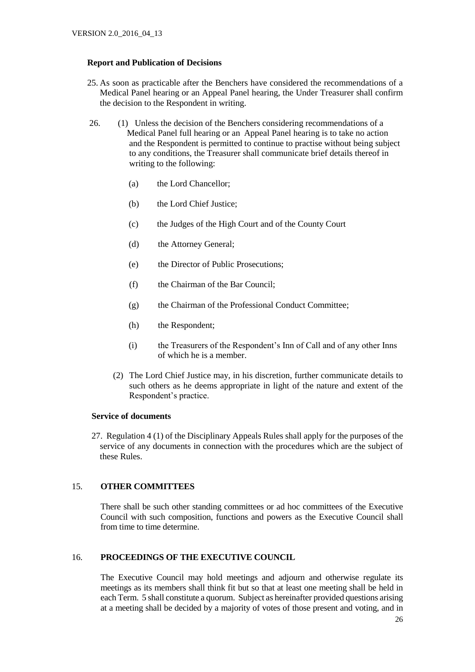#### **Report and Publication of Decisions**

- 25. As soon as practicable after the Benchers have considered the recommendations of a Medical Panel hearing or an Appeal Panel hearing, the Under Treasurer shall confirm the decision to the Respondent in writing.
- 26. (1) Unless the decision of the Benchers considering recommendations of a Medical Panel full hearing or an Appeal Panel hearing is to take no action and the Respondent is permitted to continue to practise without being subject to any conditions, the Treasurer shall communicate brief details thereof in writing to the following:
	- (a) the Lord Chancellor;
	- (b) the Lord Chief Justice;
	- (c) the Judges of the High Court and of the County Court
	- (d) the Attorney General;
	- (e) the Director of Public Prosecutions;
	- (f) the Chairman of the Bar Council;
	- (g) the Chairman of the Professional Conduct Committee;
	- (h) the Respondent;
	- (i) the Treasurers of the Respondent's Inn of Call and of any other Inns of which he is a member.
	- (2) The Lord Chief Justice may, in his discretion, further communicate details to such others as he deems appropriate in light of the nature and extent of the Respondent's practice.

#### **Service of documents**

 27. Regulation 4 (1) of the Disciplinary Appeals Rules shall apply for the purposes of the service of any documents in connection with the procedures which are the subject of these Rules.

#### 15. **OTHER COMMITTEES**

There shall be such other standing committees or ad hoc committees of the Executive Council with such composition, functions and powers as the Executive Council shall from time to time determine.

# 16. **PROCEEDINGS OF THE EXECUTIVE COUNCIL**

The Executive Council may hold meetings and adjourn and otherwise regulate its meetings as its members shall think fit but so that at least one meeting shall be held in each Term. 5 shall constitute a quorum. Subject as hereinafter provided questions arising at a meeting shall be decided by a majority of votes of those present and voting, and in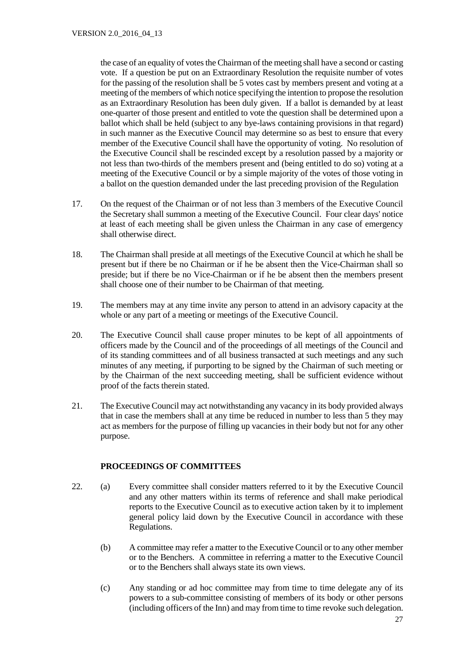the case of an equality of votes the Chairman of the meeting shall have a second or casting vote. If a question be put on an Extraordinary Resolution the requisite number of votes for the passing of the resolution shall be 5 votes cast by members present and voting at a meeting of the members of which notice specifying the intention to propose the resolution as an Extraordinary Resolution has been duly given. If a ballot is demanded by at least one-quarter of those present and entitled to vote the question shall be determined upon a ballot which shall be held (subject to any bye-laws containing provisions in that regard) in such manner as the Executive Council may determine so as best to ensure that every member of the Executive Council shall have the opportunity of voting. No resolution of the Executive Council shall be rescinded except by a resolution passed by a majority or not less than two-thirds of the members present and (being entitled to do so) voting at a meeting of the Executive Council or by a simple majority of the votes of those voting in a ballot on the question demanded under the last preceding provision of the Regulation

- 17. On the request of the Chairman or of not less than 3 members of the Executive Council the Secretary shall summon a meeting of the Executive Council. Four clear days' notice at least of each meeting shall be given unless the Chairman in any case of emergency shall otherwise direct.
- 18. The Chairman shall preside at all meetings of the Executive Council at which he shall be present but if there be no Chairman or if he be absent then the Vice-Chairman shall so preside; but if there be no Vice-Chairman or if he be absent then the members present shall choose one of their number to be Chairman of that meeting.
- 19. The members may at any time invite any person to attend in an advisory capacity at the whole or any part of a meeting or meetings of the Executive Council.
- 20. The Executive Council shall cause proper minutes to be kept of all appointments of officers made by the Council and of the proceedings of all meetings of the Council and of its standing committees and of all business transacted at such meetings and any such minutes of any meeting, if purporting to be signed by the Chairman of such meeting or by the Chairman of the next succeeding meeting, shall be sufficient evidence without proof of the facts therein stated.
- 21. The Executive Council may act notwithstanding any vacancy in its body provided always that in case the members shall at any time be reduced in number to less than 5 they may act as members for the purpose of filling up vacancies in their body but not for any other purpose.

#### **PROCEEDINGS OF COMMITTEES**

- 22. (a) Every committee shall consider matters referred to it by the Executive Council and any other matters within its terms of reference and shall make periodical reports to the Executive Council as to executive action taken by it to implement general policy laid down by the Executive Council in accordance with these Regulations.
	- (b) A committee may refer a matter to the Executive Council or to any other member or to the Benchers. A committee in referring a matter to the Executive Council or to the Benchers shall always state its own views.
	- (c) Any standing or ad hoc committee may from time to time delegate any of its powers to a sub-committee consisting of members of its body or other persons (including officers of the Inn) and may from time to time revoke such delegation.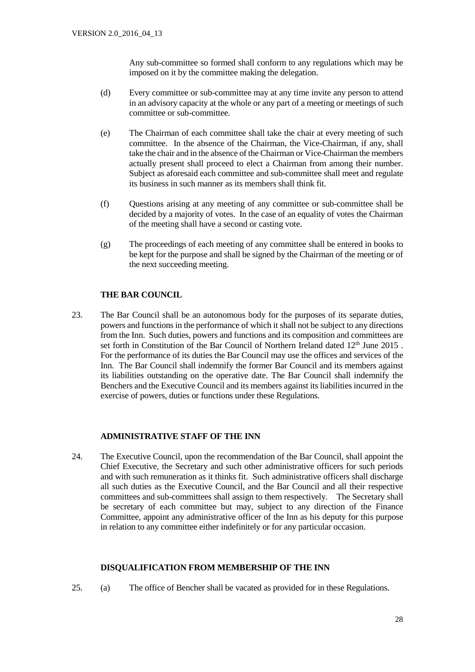Any sub-committee so formed shall conform to any regulations which may be imposed on it by the committee making the delegation.

- (d) Every committee or sub-committee may at any time invite any person to attend in an advisory capacity at the whole or any part of a meeting or meetings of such committee or sub-committee.
- (e) The Chairman of each committee shall take the chair at every meeting of such committee. In the absence of the Chairman, the Vice-Chairman, if any, shall take the chair and in the absence of the Chairman or Vice-Chairman the members actually present shall proceed to elect a Chairman from among their number. Subject as aforesaid each committee and sub-committee shall meet and regulate its business in such manner as its members shall think fit.
- (f) Questions arising at any meeting of any committee or sub-committee shall be decided by a majority of votes. In the case of an equality of votes the Chairman of the meeting shall have a second or casting vote.
- (g) The proceedings of each meeting of any committee shall be entered in books to be kept for the purpose and shall be signed by the Chairman of the meeting or of the next succeeding meeting.

# **THE BAR COUNCIL**

23. The Bar Council shall be an autonomous body for the purposes of its separate duties, powers and functions in the performance of which it shall not be subject to any directions from the Inn. Such duties, powers and functions and its composition and committees are set forth in Constitution of the Bar Council of Northern Ireland dated 12<sup>th</sup> June 2015. For the performance of its duties the Bar Council may use the offices and services of the Inn. The Bar Council shall indemnify the former Bar Council and its members against its liabilities outstanding on the operative date. The Bar Council shall indemnify the Benchers and the Executive Council and its members against its liabilities incurred in the exercise of powers, duties or functions under these Regulations.

#### **ADMINISTRATIVE STAFF OF THE INN**

24. The Executive Council, upon the recommendation of the Bar Council, shall appoint the Chief Executive, the Secretary and such other administrative officers for such periods and with such remuneration as it thinks fit. Such administrative officers shall discharge all such duties as the Executive Council, and the Bar Council and all their respective committees and sub-committees shall assign to them respectively. The Secretary shall be secretary of each committee but may, subject to any direction of the Finance Committee, appoint any administrative officer of the Inn as his deputy for this purpose in relation to any committee either indefinitely or for any particular occasion.

#### **DISQUALIFICATION FROM MEMBERSHIP OF THE INN**

25. (a) The office of Bencher shall be vacated as provided for in these Regulations.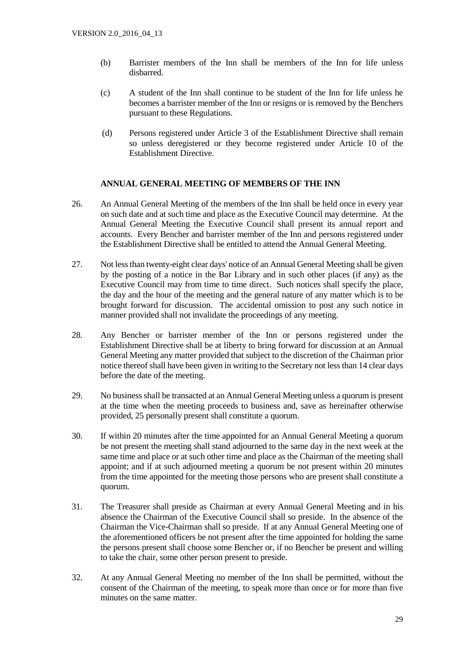- (b) Barrister members of the Inn shall be members of the Inn for life unless disbarred.
- (c) A student of the Inn shall continue to be student of the Inn for life unless he becomes a barrister member of the Inn or resigns or is removed by the Benchers pursuant to these Regulations.
- (d) Persons registered under Article 3 of the Establishment Directive shall remain so unless deregistered or they become registered under Article 10 of the Establishment Directive.

#### **ANNUAL GENERAL MEETING OF MEMBERS OF THE INN**

- 26. An Annual General Meeting of the members of the Inn shall be held once in every year on such date and at such time and place as the Executive Council may determine. At the Annual General Meeting the Executive Council shall present its annual report and accounts. Every Bencher and barrister member of the Inn and persons registered under the Establishment Directive shall be entitled to attend the Annual General Meeting.
- 27. Not less than twenty-eight clear days' notice of an Annual General Meeting shall be given by the posting of a notice in the Bar Library and in such other places (if any) as the Executive Council may from time to time direct. Such notices shall specify the place, the day and the hour of the meeting and the general nature of any matter which is to be brought forward for discussion. The accidental omission to post any such notice in manner provided shall not invalidate the proceedings of any meeting.
- 28. Any Bencher or barrister member of the Inn or persons registered under the Establishment Directive shall be at liberty to bring forward for discussion at an Annual General Meeting any matter provided that subject to the discretion of the Chairman prior notice thereof shall have been given in writing to the Secretary not less than 14 clear days before the date of the meeting.
- 29. No business shall be transacted at an Annual General Meeting unless a quorum is present at the time when the meeting proceeds to business and, save as hereinafter otherwise provided, 25 personally present shall constitute a quorum.
- 30. If within 20 minutes after the time appointed for an Annual General Meeting a quorum be not present the meeting shall stand adjourned to the same day in the next week at the same time and place or at such other time and place as the Chairman of the meeting shall appoint; and if at such adjourned meeting a quorum be not present within 20 minutes from the time appointed for the meeting those persons who are present shall constitute a quorum.
- 31. The Treasurer shall preside as Chairman at every Annual General Meeting and in his absence the Chairman of the Executive Council shall so preside. In the absence of the Chairman the Vice-Chairman shall so preside. If at any Annual General Meeting one of the aforementioned officers be not present after the time appointed for holding the same the persons present shall choose some Bencher or, if no Bencher be present and willing to take the chair, some other person present to preside.
- 32. At any Annual General Meeting no member of the Inn shall be permitted, without the consent of the Chairman of the meeting, to speak more than once or for more than five minutes on the same matter.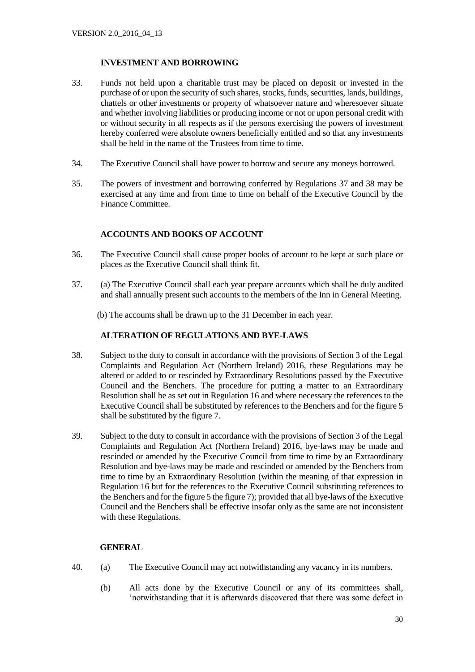# **INVESTMENT AND BORROWING**

- 33. Funds not held upon a charitable trust may be placed on deposit or invested in the purchase of or upon the security of such shares, stocks, funds, securities, lands, buildings, chattels or other investments or property of whatsoever nature and wheresoever situate and whether involving liabilities or producing income or not or upon personal credit with or without security in all respects as if the persons exercising the powers of investment hereby conferred were absolute owners beneficially entitled and so that any investments shall be held in the name of the Trustees from time to time.
- 34. The Executive Council shall have power to borrow and secure any moneys borrowed.
- 35. The powers of investment and borrowing conferred by Regulations 37 and 38 may be exercised at any time and from time to time on behalf of the Executive Council by the Finance Committee.

# **ACCOUNTS AND BOOKS OF ACCOUNT**

- 36. The Executive Council shall cause proper books of account to be kept at such place or places as the Executive Council shall think fit.
- 37. (a) The Executive Council shall each year prepare accounts which shall be duly audited and shall annually present such accounts to the members of the Inn in General Meeting.
	- (b) The accounts shall be drawn up to the 31 December in each year.

## **ALTERATION OF REGULATIONS AND BYE-LAWS**

- 38. Subject to the duty to consult in accordance with the provisions of Section 3 of the Legal Complaints and Regulation Act (Northern Ireland) 2016, these Regulations may be altered or added to or rescinded by Extraordinary Resolutions passed by the Executive Council and the Benchers. The procedure for putting a matter to an Extraordinary Resolution shall be as set out in Regulation 16 and where necessary the references to the Executive Council shall be substituted by references to the Benchers and for the figure 5 shall be substituted by the figure 7.
- 39. Subject to the duty to consult in accordance with the provisions of Section 3 of the Legal Complaints and Regulation Act (Northern Ireland) 2016, bye-laws may be made and rescinded or amended by the Executive Council from time to time by an Extraordinary Resolution and bye-laws may be made and rescinded or amended by the Benchers from time to time by an Extraordinary Resolution (within the meaning of that expression in Regulation 16 but for the references to the Executive Council substituting references to the Benchers and for the figure 5 the figure 7); provided that all bye-laws of the Executive Council and the Benchers shall be effective insofar only as the same are not inconsistent with these Regulations.

#### **GENERAL**

- 40. (a) The Executive Council may act notwithstanding any vacancy in its numbers.
	- (b) All acts done by the Executive Council or any of its committees shall, 'notwithstanding that it is afterwards discovered that there was some defect in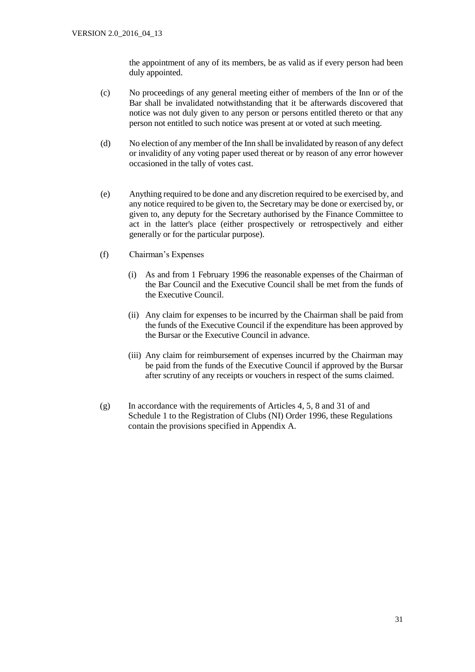the appointment of any of its members, be as valid as if every person had been duly appointed.

- (c) No proceedings of any general meeting either of members of the Inn or of the Bar shall be invalidated notwithstanding that it be afterwards discovered that notice was not duly given to any person or persons entitled thereto or that any person not entitled to such notice was present at or voted at such meeting.
- (d) No election of any member of the Inn shall be invalidated by reason of any defect or invalidity of any voting paper used thereat or by reason of any error however occasioned in the tally of votes cast.
- (e) Anything required to be done and any discretion required to be exercised by, and any notice required to be given to, the Secretary may be done or exercised by, or given to, any deputy for the Secretary authorised by the Finance Committee to act in the latter's place (either prospectively or retrospectively and either generally or for the particular purpose).
- (f) Chairman's Expenses
	- (i) As and from 1 February 1996 the reasonable expenses of the Chairman of the Bar Council and the Executive Council shall be met from the funds of the Executive Council.
	- (ii) Any claim for expenses to be incurred by the Chairman shall be paid from the funds of the Executive Council if the expenditure has been approved by the Bursar or the Executive Council in advance.
	- (iii) Any claim for reimbursement of expenses incurred by the Chairman may be paid from the funds of the Executive Council if approved by the Bursar after scrutiny of any receipts or vouchers in respect of the sums claimed.
- (g) In accordance with the requirements of Articles 4, 5, 8 and 31 of and Schedule 1 to the Registration of Clubs (NI) Order 1996, these Regulations contain the provisions specified in Appendix A.